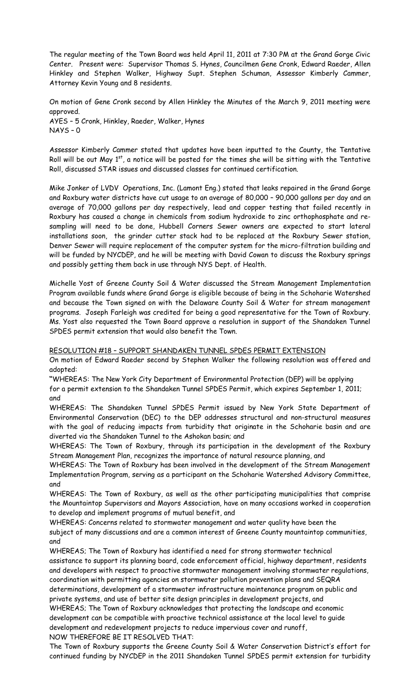The regular meeting of the Town Board was held April 11, 2011 at 7:30 PM at the Grand Gorge Civic Center. Present were: Supervisor Thomas S. Hynes, Councilmen Gene Cronk, Edward Raeder, Allen Hinkley and Stephen Walker, Highway Supt. Stephen Schuman, Assessor Kimberly Cammer, Attorney Kevin Young and 8 residents.

On motion of Gene Cronk second by Allen Hinkley the Minutes of the March 9, 2011 meeting were approved. AYES – 5 Cronk, Hinkley, Raeder, Walker, Hynes NAYS – 0

Assessor Kimberly Cammer stated that updates have been inputted to the County, the Tentative Roll will be out May  $1^{\rm st}$ , a notice will be posted for the times she will be sitting with the Tentative Roll, discussed STAR issues and discussed classes for continued certification.

Mike Jonker of LVDV Operations, Inc. (Lamont Eng.) stated that leaks repaired in the Grand Gorge and Roxbury water districts have cut usage to an average of 80,000 – 90,000 gallons per day and an average of 70,000 gallons per day respectively, lead and copper testing that failed recently in Roxbury has caused a change in chemicals from sodium hydroxide to zinc orthophosphate and resampling will need to be done, Hubbell Corners Sewer owners are expected to start lateral installations soon, the grinder cutter stack had to be replaced at the Roxbury Sewer station, Denver Sewer will require replacement of the computer system for the micro-filtration building and will be funded by NYCDEP, and he will be meeting with David Cowan to discuss the Roxbury springs and possibly getting them back in use through NYS Dept. of Health.

Michelle Yost of Greene County Soil & Water discussed the Stream Management Implementation Program available funds where Grand Gorge is eligible because of being in the Schoharie Watershed and because the Town signed on with the Delaware County Soil & Water for stream management programs. Joseph Farleigh was credited for being a good representative for the Town of Roxbury. Ms. Yost also requested the Town Board approve a resolution in support of the Shandaken Tunnel SPDES permit extension that would also benefit the Town.

## RESOLUTION #18 – SUPPORT SHANDAKEN TUNNEL SPDES PERMIT EXTENSION

On motion of Edward Raeder second by Stephen Walker the following resolution was offered and adopted:

**"**WHEREAS: The New York City Department of Environmental Protection (DEP) will be applying for a permit extension to the Shandaken Tunnel SPDES Permit, which expires September 1, 2011; and

WHEREAS: The Shandaken Tunnel SPDES Permit issued by New York State Department of Environmental Conservation (DEC) to the DEP addresses structural and non-structural measures with the goal of reducing impacts from turbidity that originate in the Schoharie basin and are diverted via the Shandaken Tunnel to the Ashokan basin; and

WHEREAS: The Town of Roxbury, through its participation in the development of the Roxbury Stream Management Plan, recognizes the importance of natural resource planning, and

WHEREAS: The Town of Roxbury has been involved in the development of the Stream Management Implementation Program, serving as a participant on the Schoharie Watershed Advisory Committee, and

WHEREAS: The Town of Roxbury, as well as the other participating municipalities that comprise the Mountaintop Supervisors and Mayors Association, have on many occasions worked in cooperation to develop and implement programs of mutual benefit, and

WHEREAS: Concerns related to stormwater management and water quality have been the subject of many discussions and are a common interest of Greene County mountaintop communities, and

WHEREAS; The Town of Roxbury has identified a need for strong stormwater technical assistance to support its planning board, code enforcement official, highway department, residents and developers with respect to proactive stormwater management involving stormwater regulations, coordination with permitting agencies on stormwater pollution prevention plans and SEQRA determinations, development of a stormwater infrastructure maintenance program on public and private systems, and use of better site design principles in development projects, and WHEREAS; The Town of Roxbury acknowledges that protecting the landscape and economic development can be compatible with proactive technical assistance at the local level to guide development and redevelopment projects to reduce impervious cover and runoff,

NOW THEREFORE BE IT RESOLVED THAT:

The Town of Roxbury supports the Greene County Soil & Water Conservation District's effort for continued funding by NYCDEP in the 2011 Shandaken Tunnel SPDES permit extension for turbidity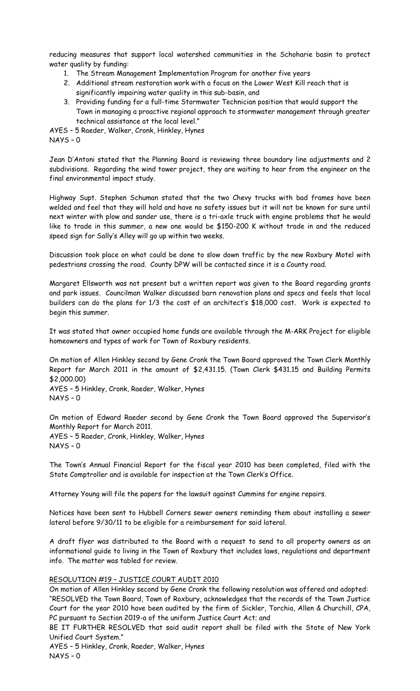reducing measures that support local watershed communities in the Schoharie basin to protect water quality by funding:

- 1. The Stream Management Implementation Program for another five years
- 2. Additional stream restoration work with a focus on the Lower West Kill reach that is significantly impairing water quality in this sub-basin, and
- 3. Providing funding for a full-time Stormwater Technician position that would support the Town in managing a proactive regional approach to stormwater management through greater technical assistance at the local level."

AYES – 5 Raeder, Walker, Cronk, Hinkley, Hynes

NAYS – 0

Jean D'Antoni stated that the Planning Board is reviewing three boundary line adjustments and 2 subdivisions. Regarding the wind tower project, they are waiting to hear from the engineer on the final environmental impact study.

Highway Supt. Stephen Schuman stated that the two Chevy trucks with bad frames have been welded and feel that they will hold and have no safety issues but it will not be known for sure until next winter with plow and sander use, there is a tri-axle truck with engine problems that he would like to trade in this summer, a new one would be \$150-200 K without trade in and the reduced speed sign for Sally's Alley will go up within two weeks.

Discussion took place on what could be done to slow down traffic by the new Roxbury Motel with pedestrians crossing the road. County DPW will be contacted since it is a County road.

Margaret Ellsworth was not present but a written report was given to the Board regarding grants and park issues. Councilman Walker discussed barn renovation plans and specs and feels that local builders can do the plans for 1/3 the cost of an architect's \$18,000 cost. Work is expected to begin this summer.

It was stated that owner occupied home funds are available through the M-ARK Project for eligible homeowners and types of work for Town of Roxbury residents.

On motion of Allen Hinkley second by Gene Cronk the Town Board approved the Town Clerk Monthly Report for March 2011 in the amount of \$2,431.15. (Town Clerk \$431.15 and Building Permits \$2,000.00)

AYES – 5 Hinkley, Cronk, Raeder, Walker, Hynes NAYS – 0

On motion of Edward Raeder second by Gene Cronk the Town Board approved the Supervisor's Monthly Report for March 2011. AYES – 5 Raeder, Cronk, Hinkley, Walker, Hynes NAYS – 0

The Town's Annual Financial Report for the fiscal year 2010 has been completed, filed with the State Comptroller and is available for inspection at the Town Clerk's Office.

Attorney Young will file the papers for the lawsuit against Cummins for engine repairs.

Notices have been sent to Hubbell Corners sewer owners reminding them about installing a sewer lateral before 9/30/11 to be eligible for a reimbursement for said lateral.

A draft flyer was distributed to the Board with a request to send to all property owners as an informational guide to living in the Town of Roxbury that includes laws, regulations and department info. The matter was tabled for review.

## RESOLUTION #19 – JUSTICE COURT AUDIT 2010

On motion of Allen Hinkley second by Gene Cronk the following resolution was offered and adopted: "RESOLVED the Town Board, Town of Roxbury, acknowledges that the records of the Town Justice Court for the year 2010 have been audited by the firm of Sickler, Torchia, Allen & Churchill, CPA, PC pursuant to Section 2019-a of the uniform Justice Court Act; and

BE IT FURTHER RESOLVED that said audit report shall be filed with the State of New York Unified Court System."

AYES – 5 Hinkley, Cronk, Raeder, Walker, Hynes NAYS – 0